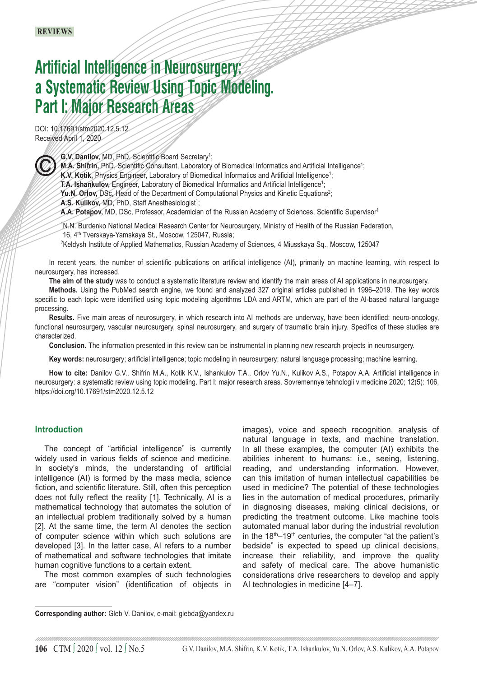# **Artificial Intelligence in Neurosurgery: a Systematic Review Using Topic Modeling. Part I: Major Research Areas**

DOI: 10.17691/stm2020.12.5.12 Received April 1, 2020

> **G.V. Danilov,** MD, PhD, Scientific Board Secretary1; **M.A. Shifrin, PhD, Scientific Consultant, Laboratory of Biomedical Informatics and Artificial Intelligence<sup>1</sup>;** K.V. Kotik, Physics Engineer, Laboratory of Biomedical Informatics and Artificial Intelligence<sup>1</sup>; **T.A. Ishankulov,** Engineer, Laboratory of Biomedical Informatics and Artificial Intelligence1; **Yu.N. Orlov,** DSc, Head of the Department of Computational Physics and Kinetic Equations2; **A.S. Kulikov, MD, PhD, Staff Anesthesiologist<sup>1</sup>; A.A. Potapov,** MD, DSc, Professor, Academician of the Russian Academy of Sciences, Scientific Supervisor1 1N.N. Burdenko National Medical Research Center for Neurosurgery, Ministry of Health of the Russian Federation, 16, 4<sup>th</sup> Tverskaya-Yamskaya St., Moscow, 125047, Russia;<br><sup>2</sup>Keldysh Institute of Applied Mathematics, Russian Academy of Sciences, 4 Miusskaya Sq., Moscow, 125047

In recent years, the number of scientific publications on artificial intelligence (AI), primarily on machine learning, with respect to neurosurgery, has increased.

**The aim of the study** was to conduct a systematic literature review and identify the main areas of AI applications in neurosurgery.

**Methods.** Using the PubMed search engine, we found and analyzed 327 original articles published in 1996–2019. The key words specific to each topic were identified using topic modeling algorithms LDA and ARTM, which are part of the AI-based natural language processing.

**Results.** Five main areas of neurosurgery, in which research into AI methods are underway, have been identified: neuro-oncology, functional neurosurgery, vascular neurosurgery, spinal neurosurgery, and surgery of traumatic brain injury. Specifics of these studies are characterized.

**Conclusion.** The information presented in this review can be instrumental in planning new research projects in neurosurgery.

**Key words:** neurosurgery; artificial intelligence; topic modeling in neurosurgery; natural language processing; machine learning.

**How to cite:** Danilov G.V., Shifrin M.A., Kotik K.V., Ishankulov T.A., Orlov Yu.N., Kulikov A.S., Potapov A.A. Artificial intelligence in neurosurgery: a systematic review using topic modeling. Part I: major research areas. Sovremennye tehnologii v medicine 2020; 12(5): 106, https://doi.org/10.17691/stm2020.12.5.12

## **Introduction**

The concept of "artificial intelligence" is currently widely used in various fields of science and medicine. In society's minds, the understanding of artificial intelligence (AI) is formed by the mass media, science fiction, and scientific literature. Still, often this perception does not fully reflect the reality [1]. Technically, AI is a mathematical technology that automates the solution of an intellectual problem traditionally solved by a human [2]. At the same time, the term AI denotes the section of computer science within which such solutions are developed [3]. In the latter case, AI refers to a number of mathematical and software technologies that imitate human cognitive functions to a certain extent.

The most common examples of such technologies are "computer vision" (identification of objects in

images), voice and speech recognition, analysis of natural language in texts, and machine translation. In all these examples, the computer (AI) exhibits the abilities inherent to humans: i.e., seeing, listening, reading, and understanding information. However, can this imitation of human intellectual capabilities be used in medicine? The potential of these technologies lies in the automation of medical procedures, primarily in diagnosing diseases, making clinical decisions, or predicting the treatment outcome. Like machine tools automated manual labor during the industrial revolution in the 18<sup>th</sup>–19<sup>th</sup> centuries, the computer "at the patient's bedside" is expected to speed up clinical decisions, increase their reliability, and improve the quality and safety of medical care. The above humanistic considerations drive researchers to develop and apply AI technologies in medicine [4–7].

**Corresponding author:** Gleb V. Danilov, e-mail: glebda@yandex.ru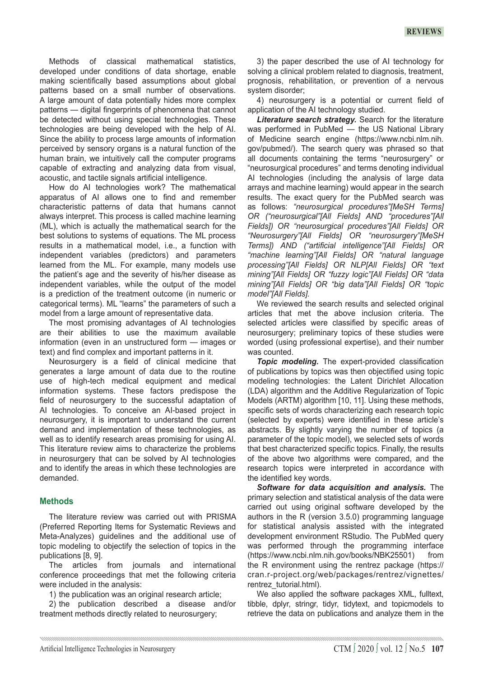Methods of classical mathematical statistics, developed under conditions of data shortage, enable making scientifically based assumptions about global patterns based on a small number of observations. A large amount of data potentially hides more complex patterns — digital fingerprints of phenomena that cannot be detected without using special technologies. These technologies are being developed with the help of AI. Since the ability to process large amounts of information perceived by sensory organs is a natural function of the human brain, we intuitively call the computer programs capable of extracting and analyzing data from visual, acoustic, and tactile signals artificial intelligence.

How do AI technologies work? The mathematical apparatus of AI allows one to find and remember characteristic patterns of data that humans cannot always interpret. This process is called machine learning (ML), which is actually the mathematical search for the best solutions to systems of equations. The ML process results in a mathematical model, i.e., a function with independent variables (predictors) and parameters learned from the ML. For example, many models use the patient's age and the severity of his/her disease as independent variables, while the output of the model is a prediction of the treatment outcome (in numeric or categorical terms). ML "learns" the parameters of such a model from a large amount of representative data.

The most promising advantages of AI technologies are their abilities to use the maximum available information (even in an unstructured form — images or text) and find complex and important patterns in it.

Neurosurgery is a field of clinical medicine that generates a large amount of data due to the routine use of high-tech medical equipment and medical information systems. These factors predispose the field of neurosurgery to the successful adaptation of AI technologies. To conceive an AI-based project in neurosurgery, it is important to understand the current demand and implementation of these technologies, as well as to identify research areas promising for using AI. This literature review aims to characterize the problems in neurosurgery that can be solved by AI technologies and to identify the areas in which these technologies are demanded.

#### **Methods**

The literature review was carried out with PRISMA (Preferred Reporting Items for Systematic Reviews and Meta-Analyzes) guidelines and the additional use of topic modeling to objectify the selection of topics in the publications [8, 9].

The articles from journals and international conference proceedings that met the following criteria were included in the analysis:

1) the publication was an original research article;

2) the publication described a disease and/or treatment methods directly related to neurosurgery;

3) the paper described the use of AI technology for solving a clinical problem related to diagnosis, treatment, prognosis, rehabilitation, or prevention of a nervous system disorder;

4) neurosurgery is a potential or current field of application of the AI technology studied.

*Literature search strategy.* Search for the literature was performed in PubMed — the US National Library of Medicine search engine (https://www.ncbi.nlm.nih. gov/pubmed/). The search query was phrased so that all documents containing the terms "neurosurgery" or "neurosurgical procedures" and terms denoting individual AI technologies (including the analysis of large data arrays and machine learning) would appear in the search results. The exact query for the PubMed search was as follows: *"neurosurgical procedures"[MeSH Terms] OR ("neurosurgical"[All Fields] AND "procedures"[All Fields]) OR "neurosurgical procedures"[All Fields] OR "Neurosurgery"[All Fields] OR "neurosurgery"[MeSH Terms]) AND ("artificial intelligence"[All Fields] OR "machine learning"[All Fields] OR "natural language processing"[All Fields] OR NLP[All Fields] OR "text mining"[All Fields] OR "fuzzy logic"[All Fields] OR "data mining"[All Fields] OR "big data"[All Fields] OR "topic model"[All Fields].*

We reviewed the search results and selected original articles that met the above inclusion criteria. The selected articles were classified by specific areas of neurosurgery; preliminary topics of these studies were worded (using professional expertise), and their number was counted.

*Topic modeling.* The expert-provided classification of publications by topics was then objectified using topic modeling technologies: the Latent Dirichlet Allocation (LDA) algorithm and the Additive Regularization of Topic Models (ARTM) algorithm [10, 11]. Using these methods, specific sets of words characterizing each research topic (selected by experts) were identified in these article's abstracts. By slightly varying the number of topics (a parameter of the topic model), we selected sets of words that best characterized specific topics. Finally, the results of the above two algorithms were compared, and the research topics were interpreted in accordance with the identified key words.

*Software for data acquisition and analysis.* The primary selection and statistical analysis of the data were carried out using original software developed by the authors in the R (version 3.5.0) programming language for statistical analysis assisted with the integrated development environment RStudio. The PubMed query was performed through the programming interface (https://www.ncbi.nlm.nih.gov/books/NBK25501) from the R environment using the rentrez package (https:// cran.r-project.org/web/packages/rentrez/vignettes/ rentrez\_tutorial.html).

We also applied the software packages XML, fulltext, tibble, dplyr, stringr, tidyr, tidytext, and topicmodels to retrieve the data on publications and analyze them in the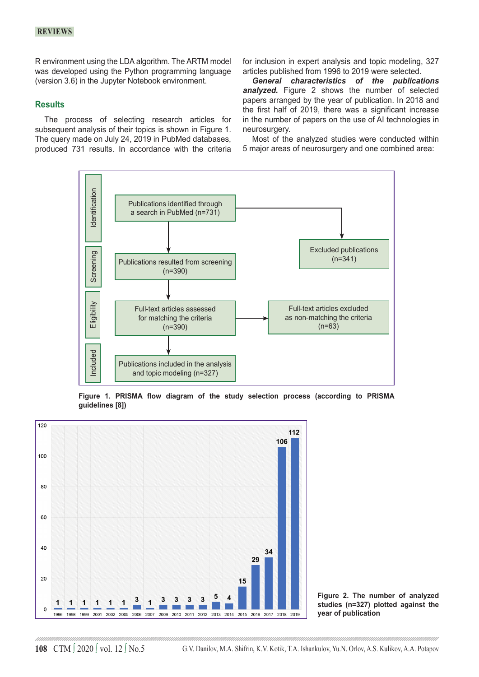## **reviews**

R environment using the LDA algorithm. The ARTM model was developed using the Python programming language (version 3.6) in the Jupyter Notebook environment.

## **Results**

The process of selecting research articles for subsequent analysis of their topics is shown in Figure 1. The query made on July 24, 2019 in PubMed databases, produced 731 results. In accordance with the criteria

for inclusion in expert analysis and topic modeling, 327 articles published from 1996 to 2019 were selected.

*General characteristics of the publications analyzed.* Figure 2 shows the number of selected papers arranged by the year of publication. In 2018 and the first half of 2019, there was a significant increase in the number of papers on the use of AI technologies in neurosurgery.

Most of the analyzed studies were conducted within 5 major areas of neurosurgery and one combined area:



**Figure 1. PRISMA flow diagram of the study selection process (according to PRISMA guidelines [8])**



**Figure 2. The number of analyzed studies (n=327) plotted against the year of publication**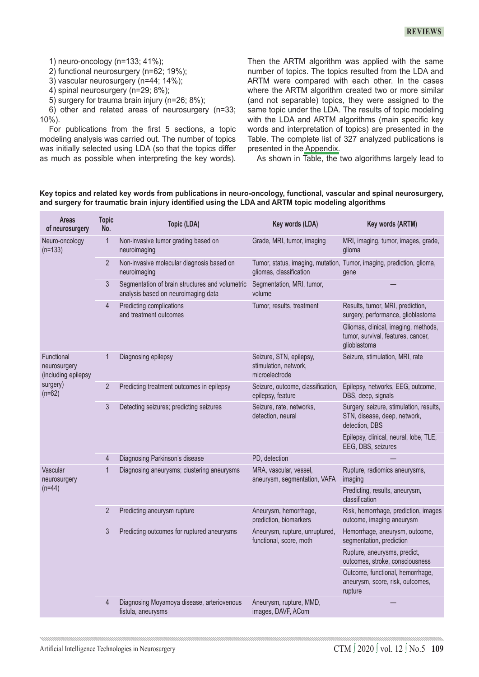#### **reviews**

1) neuro-oncology (n=133; 41%);

2) functional neurosurgery (n=62; 19%);

3) vascular neurosurgery (n=44; 14%);

4) spinal neurosurgery (n=29; 8%);

5) surgery for trauma brain injury (n=26; 8%);

6) other and related areas of neurosurgery (n=33; 10%).

For publications from the first 5 sections, a topic modeling analysis was carried out. The number of topics was initially selected using LDA (so that the topics differ as much as possible when interpreting the key words).

Then the ARTM algorithm was applied with the same number of topics. The topics resulted from the LDA and ARTM were compared with each other. In the cases where the ARTM algorithm created two or more similar (and not separable) topics, they were assigned to the same topic under the LDA. The results of topic modeling with the LDA and ARTM algorithms (main specific key words and interpretation of topics) are presented in the Table. The complete list of 327 analyzed publications is presented in the [Appendix](https://drive.google.com/file/d/1VieZdWIAsOb1vnoeMYLZlgkOMxiP0w4g/view?usp=sharing).

As shown in Table, the two algorithms largely lead to

**Key topics and related key words from publications in neuro-oncology, functional, vascular and spinal neurosurgery, and surgery for traumatic brain injury identified using the LDA and ARTM topic modeling algorithms**

| Areas<br>of neurosurgery                                                  | <b>Topic</b><br>No. | Topic (LDA)                                                                            | Key words (LDA)                                                    | Key words (ARTM)                                                                           |
|---------------------------------------------------------------------------|---------------------|----------------------------------------------------------------------------------------|--------------------------------------------------------------------|--------------------------------------------------------------------------------------------|
| Neuro-oncology<br>$(n=133)$                                               | 1                   | Non-invasive tumor grading based on<br>neuroimaging                                    | Grade, MRI, tumor, imaging                                         | MRI, imaging, tumor, images, grade,<br>glioma                                              |
|                                                                           | $\overline{2}$      | Non-invasive molecular diagnosis based on<br>neuroimaging                              | gliomas, classification                                            | Tumor, status, imaging, mutation, Tumor, imaging, prediction, glioma,<br>gene              |
|                                                                           | 3                   | Segmentation of brain structures and volumetric<br>analysis based on neuroimaging data | Segmentation, MRI, tumor,<br>volume                                |                                                                                            |
|                                                                           | $\overline{4}$      | Predicting complications<br>and treatment outcomes                                     | Tumor, results, treatment                                          | Results, tumor, MRI, prediction,<br>surgery, performance, glioblastoma                     |
|                                                                           |                     |                                                                                        |                                                                    | Gliomas, clinical, imaging, methods,<br>tumor, survival, features, cancer,<br>glioblastoma |
| Functional<br>neurosurgery<br>(including epilepsy<br>surgery)<br>$(n=62)$ | $\mathbf{1}$        | Diagnosing epilepsy                                                                    | Seizure, STN, epilepsy,<br>stimulation, network,<br>microelectrode | Seizure, stimulation, MRI, rate                                                            |
|                                                                           | $\overline{2}$      | Predicting treatment outcomes in epilepsy                                              | Seizure, outcome, classification,<br>epilepsy, feature             | Epilepsy, networks, EEG, outcome,<br>DBS, deep, signals                                    |
|                                                                           | 3                   | Detecting seizures; predicting seizures                                                | Seizure, rate, networks,<br>detection, neural                      | Surgery, seizure, stimulation, results,<br>STN, disease, deep, network,<br>detection, DBS  |
|                                                                           |                     |                                                                                        |                                                                    | Epilepsy, clinical, neural, lobe, TLE,<br>EEG, DBS, seizures                               |
|                                                                           | $\overline{4}$      | Diagnosing Parkinson's disease                                                         | PD, detection                                                      |                                                                                            |
| Vascular<br>neurosurgery<br>$(n=44)$                                      | 1                   | Diagnosing aneurysms; clustering aneurysms                                             | MRA, vascular, vessel,<br>aneurysm, segmentation, VAFA             | Rupture, radiomics aneurysms,<br>imaging                                                   |
|                                                                           |                     |                                                                                        |                                                                    | Predicting, results, aneurysm,<br>classification                                           |
|                                                                           | $\overline{2}$      | Predicting aneurysm rupture                                                            | Aneurysm, hemorrhage,<br>prediction, biomarkers                    | Risk, hemorrhage, prediction, images<br>outcome, imaging aneurysm                          |
|                                                                           | 3                   | Predicting outcomes for ruptured aneurysms                                             | Aneurysm, rupture, unruptured,<br>functional, score, moth          | Hemorrhage, aneurysm, outcome,<br>segmentation, prediction                                 |
|                                                                           |                     |                                                                                        |                                                                    | Rupture, aneurysms, predict,<br>outcomes, stroke, consciousness                            |
|                                                                           |                     |                                                                                        |                                                                    | Outcome, functional, hemorrhage,<br>aneurysm, score, risk, outcomes,<br>rupture            |
|                                                                           | 4                   | Diagnosing Moyamoya disease, arteriovenous<br>fistula, aneurysms                       | Aneurysm, rupture, MMD,<br>images, DAVF, ACom                      |                                                                                            |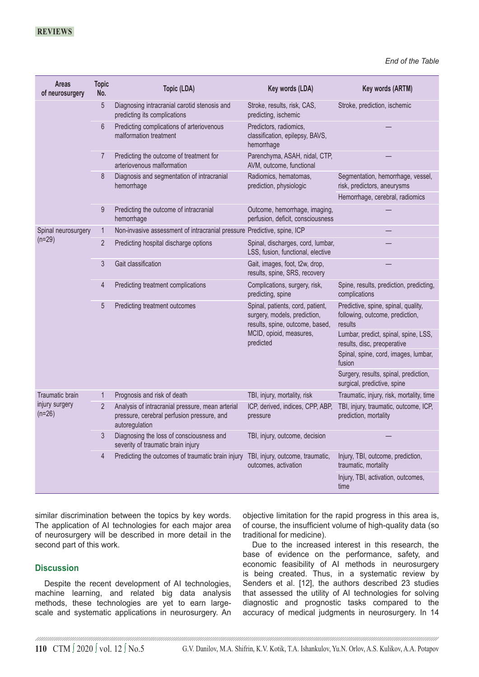*End of the Table*

| <b>Areas</b><br>of neurosurgery                      | <b>Topic</b><br>No. | <b>Topic (LDA)</b>                                                                                               | Key words (LDA)                                                                                                                             | Key words (ARTM)                                                                  |
|------------------------------------------------------|---------------------|------------------------------------------------------------------------------------------------------------------|---------------------------------------------------------------------------------------------------------------------------------------------|-----------------------------------------------------------------------------------|
|                                                      | 5                   | Diagnosing intracranial carotid stenosis and<br>predicting its complications                                     | Stroke, results, risk, CAS,<br>predicting, ischemic                                                                                         | Stroke, prediction, ischemic                                                      |
|                                                      | $6\phantom{1}$      | Predicting complications of arteriovenous<br>malformation treatment                                              | Predictors, radiomics,<br>classification, epilepsy, BAVS,<br>hemorrhage                                                                     |                                                                                   |
|                                                      | 7                   | Predicting the outcome of treatment for<br>arteriovenous malformation                                            | Parenchyma, ASAH, nidal, CTP,<br>AVM, outcome, functional                                                                                   |                                                                                   |
|                                                      | 8                   | Diagnosis and segmentation of intracranial<br>hemorrhage                                                         | Radiomics, hematomas,<br>prediction, physiologic                                                                                            | Segmentation, hemorrhage, vessel,<br>risk, predictors, aneurysms                  |
|                                                      |                     |                                                                                                                  |                                                                                                                                             | Hemorrhage, cerebral, radiomics                                                   |
|                                                      | 9                   | Predicting the outcome of intracranial<br>hemorrhage                                                             | Outcome, hemorrhage, imaging,<br>perfusion, deficit, consciousness                                                                          |                                                                                   |
| Spinal neurosurgery<br>$(n=29)$                      | $\mathbf{1}$        | Non-invasive assessment of intracranial pressure Predictive, spine, ICP                                          |                                                                                                                                             |                                                                                   |
|                                                      | $\overline{2}$      | Predicting hospital discharge options                                                                            | Spinal, discharges, cord, lumbar,<br>LSS, fusion, functional, elective                                                                      |                                                                                   |
|                                                      | 3                   | Gait classification                                                                                              | Gait, images, foot, t2w, drop,<br>results, spine, SRS, recovery                                                                             |                                                                                   |
|                                                      | 4                   | Predicting treatment complications                                                                               | Complications, surgery, risk,<br>predicting, spine                                                                                          | Spine, results, prediction, predicting,<br>complications                          |
|                                                      | 5                   | Predicting treatment outcomes                                                                                    | Spinal, patients, cord, patient,<br>surgery, models, prediction,<br>results, spine, outcome, based,<br>MCID, opioid, measures,<br>predicted | Predictive, spine, spinal, quality,<br>following, outcome, prediction,<br>results |
|                                                      |                     |                                                                                                                  |                                                                                                                                             | Lumbar, predict, spinal, spine, LSS,<br>results, disc, preoperative               |
|                                                      |                     |                                                                                                                  |                                                                                                                                             | Spinal, spine, cord, images, lumbar,<br>fusion                                    |
|                                                      |                     |                                                                                                                  |                                                                                                                                             | Surgery, results, spinal, prediction,<br>surgical, predictive, spine              |
| <b>Traumatic brain</b><br>injury surgery<br>$(n=26)$ | $\mathbf{1}$        | Prognosis and risk of death                                                                                      | TBI, injury, mortality, risk                                                                                                                | Traumatic, injury, risk, mortality, time                                          |
|                                                      | $\overline{2}$      | Analysis of intracranial pressure, mean arterial<br>pressure, cerebral perfusion pressure, and<br>autoregulation | ICP, derived, indices, CPP, ABP,<br>pressure                                                                                                | TBI, injury, traumatic, outcome, ICP,<br>prediction, mortality                    |
|                                                      | 3                   | Diagnosing the loss of consciousness and<br>severity of traumatic brain injury                                   | TBI, injury, outcome, decision                                                                                                              |                                                                                   |
|                                                      | $\overline{4}$      | Predicting the outcomes of traumatic brain injury TBI, injury, outcome, traumatic,                               | outcomes, activation                                                                                                                        | Injury, TBI, outcome, prediction,<br>traumatic, mortality                         |
|                                                      |                     |                                                                                                                  |                                                                                                                                             | Injury, TBI, activation, outcomes,<br>time                                        |

similar discrimination between the topics by key words. The application of AI technologies for each major area of neurosurgery will be described in more detail in the second part of this work.

## **Discussion**

Despite the recent development of AI technologies, machine learning, and related big data analysis methods, these technologies are yet to earn largescale and systematic applications in neurosurgery. An objective limitation for the rapid progress in this area is, of course, the insufficient volume of high-quality data (so traditional for medicine).

Due to the increased interest in this research, the base of evidence on the performance, safety, and economic feasibility of AI methods in neurosurgery is being created. Thus, in a systematic review by Senders et al. [12], the authors described 23 studies that assessed the utility of AI technologies for solving diagnostic and prognostic tasks compared to the accuracy of medical judgments in neurosurgery. In 14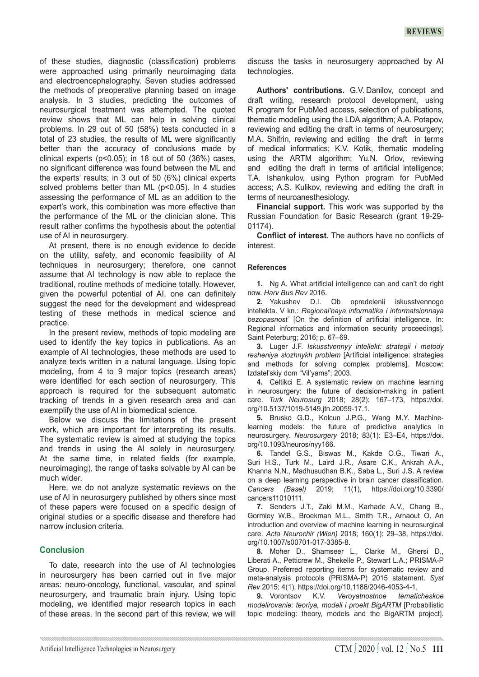of these studies, diagnostic (classification) problems were approached using primarily neuroimaging data and electroencephalography. Seven studies addressed the methods of preoperative planning based on image analysis. In 3 studies, predicting the outcomes of neurosurgical treatment was attempted. The quoted review shows that ML can help in solving clinical problems. In 29 out of 50 (58%) tests conducted in a total of 23 studies, the results of ML were significantly better than the accuracy of conclusions made by clinical experts ( $p<0.05$ ); in 18 out of 50 (36%) cases, no significant difference was found between the ML and the experts' results; in 3 out of 50 (6%) clinical experts solved problems better than ML (p<0.05). In 4 studies assessing the performance of ML as an addition to the expert's work, this combination was more effective than the performance of the ML or the clinician alone. This result rather confirms the hypothesis about the potential use of AI in neurosurgery.

At present, there is no enough evidence to decide on the utility, safety, and economic feasibility of AI techniques in neurosurgery; therefore, one cannot assume that AI technology is now able to replace the traditional, routine methods of medicine totally. However, given the powerful potential of AI, one can definitely suggest the need for the development and widespread testing of these methods in medical science and practice.

In the present review, methods of topic modeling are used to identify the key topics in publications. As an example of AI technologies, these methods are used to analyze texts written in a natural language. Using topic modeling, from 4 to 9 major topics (research areas) were identified for each section of neurosurgery. This approach is required for the subsequent automatic tracking of trends in a given research area and can exemplify the use of AI in biomedical science.

Below we discuss the limitations of the present work, which are important for interpreting its results. The systematic review is aimed at studying the topics and trends in using the AI solely in neurosurgery. At the same time, in related fields (for example, neuroimaging), the range of tasks solvable by AI can be much wider.

Here, we do not analyze systematic reviews on the use of AI in neurosurgery published by others since most of these papers were focused on a specific design of original studies or a specific disease and therefore had narrow inclusion criteria.

#### **Conclusion**

To date, research into the use of AI technologies in neurosurgery has been carried out in five major areas: neuro-oncology, functional, vascular, and spinal neurosurgery, and traumatic brain injury. Using topic modeling, we identified major research topics in each of these areas. In the second part of this review, we will

discuss the tasks in neurosurgery approached by AI technologies.

**Authors' contributions.** G.V. Danilov, concept and draft writing, research protocol development, using R program for PubMed access, selection of publications, thematic modeling using the LDA algorithm; A.A. Potapov, reviewing and editing the draft in terms of neurosurgery; M.A. Shifrin, reviewing and editing the draft in terms of medical informatics; K.V. Kotik, thematic modeling using the ARTM algorithm; Yu.N. Orlov, reviewing and editing the draft in terms of artificial intelligence; T.A. Ishankulov, using Python program for PubMed access; A.S. Kulikov, reviewing and editing the draft in terms of neuroanesthesiology.

**Financial support.** This work was supported by the Russian Foundation for Basic Research (grant 19-29- 01174).

**Conflict of interest.** The authors have no conflicts of interest.

#### **References**

**1.**  Ng A. What artificial intelligence can and can't do right now. *Harv Bus Rev* 2016.

**2.**  Yakushev D.I. Ob opredelenii iskusstvennogo intellekta. V kn.: *Regional'naya informatika i informatsionnaya bezopasnost'* [On the definition of artificial intelligence. In: Regional informatics and information security proceedings]. Saint Peterburg; 2016; p. 67–69.

**3.**  Luger J.F. *Iskusstvennyy intellekt: strategii i metody resheniya slozhnykh problem* [Artificial intelligence: strategies and methods for solving complex problems]. Moscow: Izdatel'skiy dom "Vil'yams"; 2003.

**4.**  Celtikci E. A systematic review on machine learning in neurosurgery: the future of decision-making in patient care. *Turk Neurosurg* 2018; 28(2): 167–173, https://doi. org/10.5137/1019-5149.jtn.20059-17.1.

5. Brusko G.D., Kolcun J.P.G., Wang M.Y. Machinelearning models: the future of predictive analytics in neurosurgery. *Neurosurgery* 2018; 83(1): E3–E4, https://doi. org/10.1093/neuros/nyy166.

**6.**  Tandel G.S., Biswas M., Kakde O.G., Tiwari A., Suri H.S., Turk M., Laird J.R., Asare C.K., Ankrah A.A., Khanna N.N., Madhusudhan B.K., Saba L., Suri J.S. A review on a deep learning perspective in brain cancer classification. *Cancers (Basel)* 2019; 11(1), https://doi.org/10.3390/ cancers11010111.

**7.**  Senders J.T., Zaki M.M., Karhade A.V., Chang B., Gormley W.B., Broekman M.L., Smith T.R., Arnaout O. An introduction and overview of machine learning in neurosurgical care. *Acta Neurochir (Wien)* 2018; 160(1): 29–38, https://doi. org/10.1007/s00701-017-3385-8.

**8.**  Moher D., Shamseer L., Clarke M., Ghersi D., Liberati A., Petticrew M., Shekelle P., Stewart L.A.; PRISMA-P Group. Preferred reporting items for systematic review and meta-analysis protocols (PRISMA-P) 2015 statement. *Syst Rev* 2015; 4(1), https://doi.org/10.1186/2046-4053-4-1.

**9.**  Vorontsov K.V. *Veroyatnostnoe tematicheskoe modelirovanie: teoriya, modeli i proekt BigARTM* [Probabilistic topic modeling: theory, models and the BigARTM project].